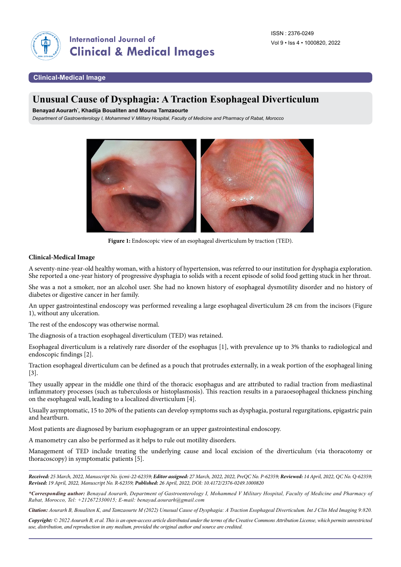

## **Clinical-Medical Image**

# **Unusual Cause of Dysphagia: A Traction Esophageal Diverticulum**

**Benayad Aourarh\* , Khadija Boualiten and Mouna Tamzaourte**

*Department of Gastroenterology I, Mohammed V Military Hospital, Faculty of Medicine and Pharmacy of Rabat, Morocco*



Figure 1: Endoscopic view of an esophageal diverticulum by traction (TED).

## **Clinical-Medical Image**

A seventy-nine-year-old healthy woman, with a history of hypertension, was referred to our institution for dysphagia exploration. She reported a one-year history of progressive dysphagia to solids with a recent episode of solid food getting stuck in her throat.

She was a not a smoker, nor an alcohol user. She had no known history of esophageal dysmotility disorder and no history of diabetes or digestive cancer in her family.

An upper gastrointestinal endoscopy was performed revealing a large esophageal diverticulum 28 cm from the incisors (Figure 1), without any ulceration.

The rest of the endoscopy was otherwise normal.

The diagnosis of a traction esophageal diverticulum (TED) was retained.

Esophageal diverticulum is a relatively rare disorder of the esophagus [1], with prevalence up to 3% thanks to radiological and endoscopic findings [2].

Traction esophageal diverticulum can be defined as a pouch that protrudes externally, in a weak portion of the esophageal lining [3].

They usually appear in the middle one third of the thoracic esophagus and are attributed to radial traction from mediastinal inflammatory processes (such as tuberculosis or histoplasmosis). This reaction results in a paraoesophageal thickness pinching on the esophageal wall, leading to a localized diverticulum [4].

Usually asymptomatic, 15 to 20% of the patients can develop symptoms such as dysphagia, postural regurgitations, epigastric pain and heartburn.

Most patients are diagnosed by barium esophagogram or an upper gastrointestinal endoscopy.

A manometry can also be performed as it helps to rule out motility disorders.

Management of TED include treating the underlying cause and local excision of the diverticulum (via thoracotomy or thoracoscopy) in symptomatic patients [5].

*Received: 25 March, 2022, Manuscript No. ijcmi-22-62359; Editor assigned: 27 March, 2022, 2022, PreQC No. P-62359; Reviewed: 14 April, 2022, QC No. Q-62359; Revised: 19 April, 2022, Manuscript No. R-62359; Published: 26 April, 2022, DOI: 10.4172/2376-0249.1000820*

*\*Corresponding author: Benayad Aourarh, Department of Gastroenterology I, Mohammed V Military Hospital, Faculty of Medicine and Pharmacy of Rabat, Morocco, Tel: +212672330015; E-mail: [benayad.aourarh@gmail.com](mailto:benayad.aourarh@gmail.com)*

*Citation: Aourarh B, Boualiten K, and Tamzaourte M (2022) Unusual Cause of Dysphagia: A Traction Esophageal Diverticulum. Int J Clin Med Imaging 9:820.*

*Copyright: © 2022 Aourarh B, et al. This is an open-access article distributed under the terms of the Creative Commons Attribution License, which permits unrestricted use, distribution, and reproduction in any medium, provided the original author and source are credited.*